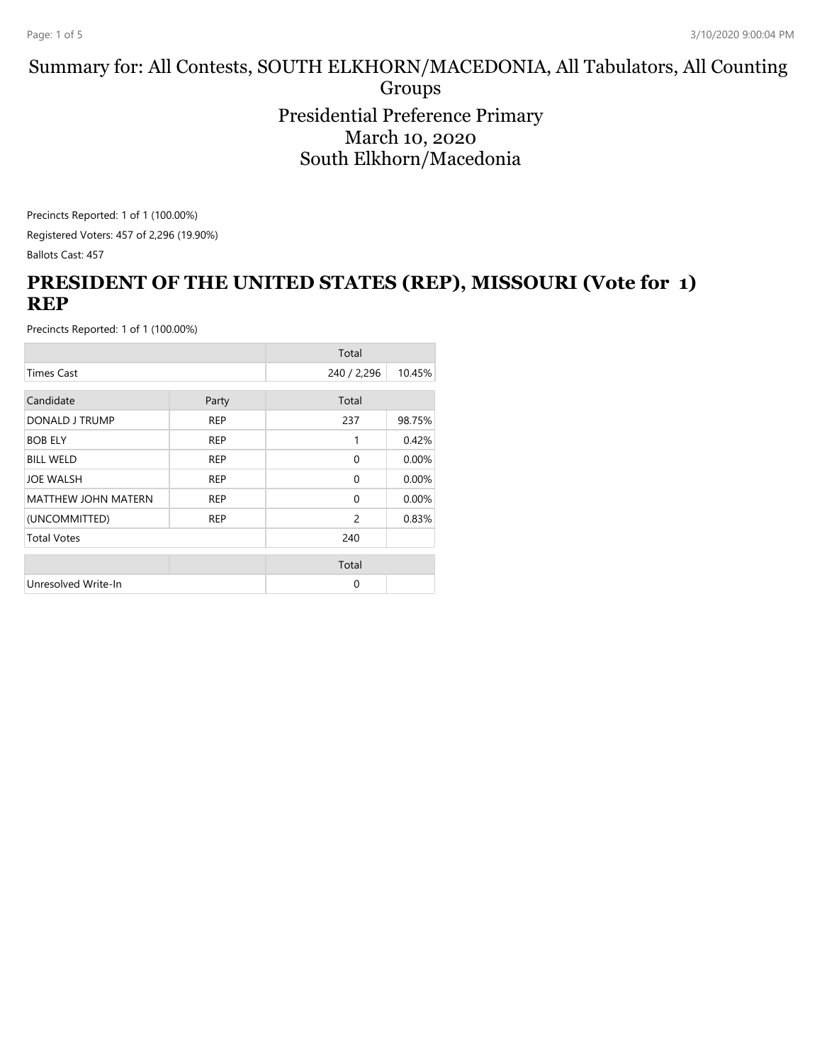#### Summary for: All Contests, SOUTH ELKHORN/MACEDONIA, All Tabulators, All Counting Groups Presidential Preference Primary March 10, 2020 South Elkhorn/Macedonia

Precincts Reported: 1 of 1 (100.00%) Registered Voters: 457 of 2,296 (19.90%) Ballots Cast: 457

## **PRESIDENT OF THE UNITED STATES (REP), MISSOURI (Vote for 1) REP**

|                            |            | Total          |        |
|----------------------------|------------|----------------|--------|
| <b>Times Cast</b>          |            | 240 / 2,296    | 10.45% |
| Candidate                  | Party      | Total          |        |
|                            |            |                |        |
| DONALD J TRUMP             | <b>REP</b> | 237            | 98.75% |
| <b>BOB ELY</b>             | <b>REP</b> | 1              | 0.42%  |
| <b>BILL WELD</b>           | <b>REP</b> | $\Omega$       | 0.00%  |
| <b>JOE WALSH</b>           | <b>REP</b> | $\Omega$       | 0.00%  |
| <b>MATTHEW JOHN MATERN</b> | <b>REP</b> | $\Omega$       | 0.00%  |
| (UNCOMMITTED)              | <b>REP</b> | $\overline{c}$ | 0.83%  |
| <b>Total Votes</b>         |            | 240            |        |
|                            |            | Total          |        |
| Unresolved Write-In        |            | $\Omega$       |        |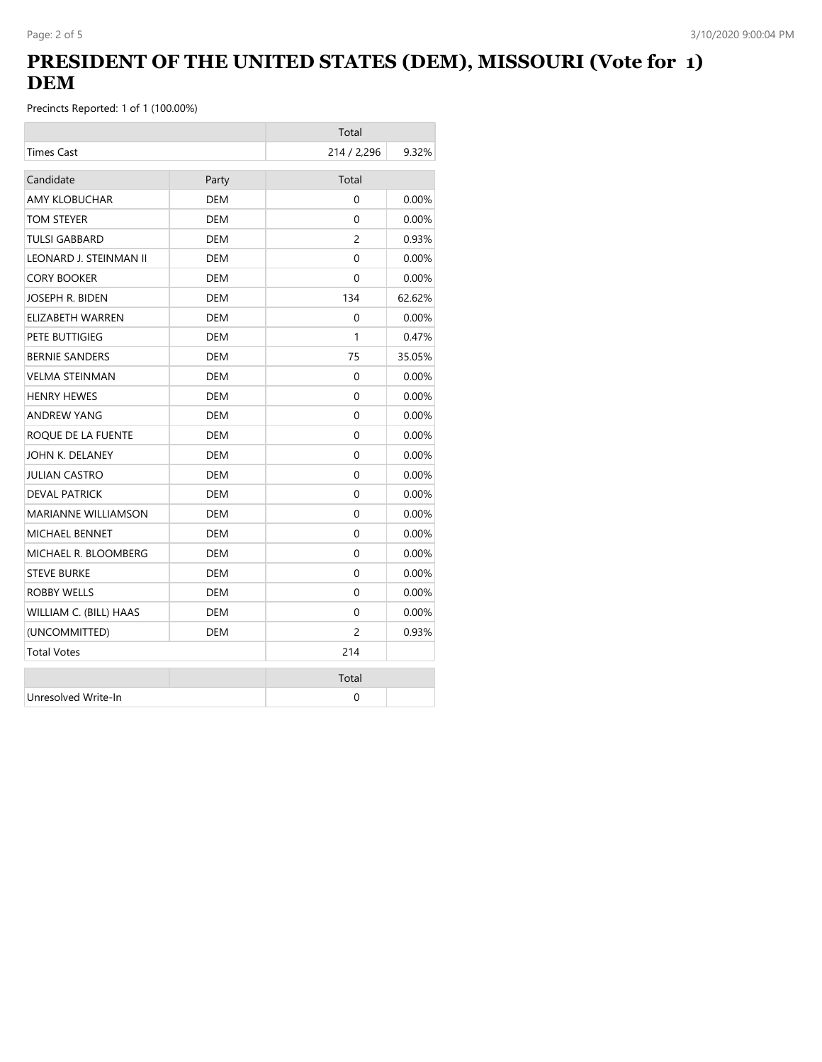## **PRESIDENT OF THE UNITED STATES (DEM), MISSOURI (Vote for 1) DEM**

|                        |            | Total          |          |
|------------------------|------------|----------------|----------|
| <b>Times Cast</b>      |            | 214 / 2,296    | 9.32%    |
| Candidate              | Party      | Total          |          |
| <b>AMY KLOBUCHAR</b>   | <b>DEM</b> | $\Omega$       | 0.00%    |
| TOM STEYER             | <b>DEM</b> | 0              | 0.00%    |
| <b>TULSI GABBARD</b>   | <b>DEM</b> | $\overline{c}$ | 0.93%    |
| LEONARD J. STEINMAN II | <b>DEM</b> | 0              | 0.00%    |
| <b>CORY BOOKER</b>     | <b>DEM</b> | $\Omega$       | 0.00%    |
| JOSEPH R. BIDEN        | <b>DEM</b> | 134            | 62.62%   |
| ELIZABETH WARREN       | DEM        | $\Omega$       | $0.00\%$ |
| PETE BUTTIGIEG         | DEM        | 1              | 0.47%    |
| <b>BERNIE SANDERS</b>  | DEM        | 75             | 35.05%   |
| <b>VELMA STEINMAN</b>  | <b>DEM</b> | 0              | 0.00%    |
| <b>HENRY HEWES</b>     | DEM        | $\Omega$       | $0.00\%$ |
| <b>ANDREW YANG</b>     | <b>DEM</b> | 0              | 0.00%    |
| ROQUE DE LA FUENTE     | DEM        | 0              | $0.00\%$ |
| JOHN K. DELANEY        | <b>DEM</b> | 0              | 0.00%    |
| JULIAN CASTRO          | DEM        | 0              | $0.00\%$ |
| <b>DEVAL PATRICK</b>   | <b>DEM</b> | 0              | 0.00%    |
| MARIANNE WILLIAMSON    | DEM        | 0              | $0.00\%$ |
| <b>MICHAEL BENNET</b>  | <b>DEM</b> | $\Omega$       | 0.00%    |
| MICHAEL R. BLOOMBERG   | DEM        | 0              | $0.00\%$ |
| <b>STEVE BURKE</b>     | DEM        | $\Omega$       | $0.00\%$ |
| ROBBY WELLS            | DEM        | 0              | 0.00%    |
| WILLIAM C. (BILL) HAAS | DEM        | $\Omega$       | $0.00\%$ |
| (UNCOMMITTED)          | DEM        | $\overline{c}$ | 0.93%    |
| <b>Total Votes</b>     |            | 214            |          |
|                        |            | Total          |          |
| Unresolved Write-In    |            | 0              |          |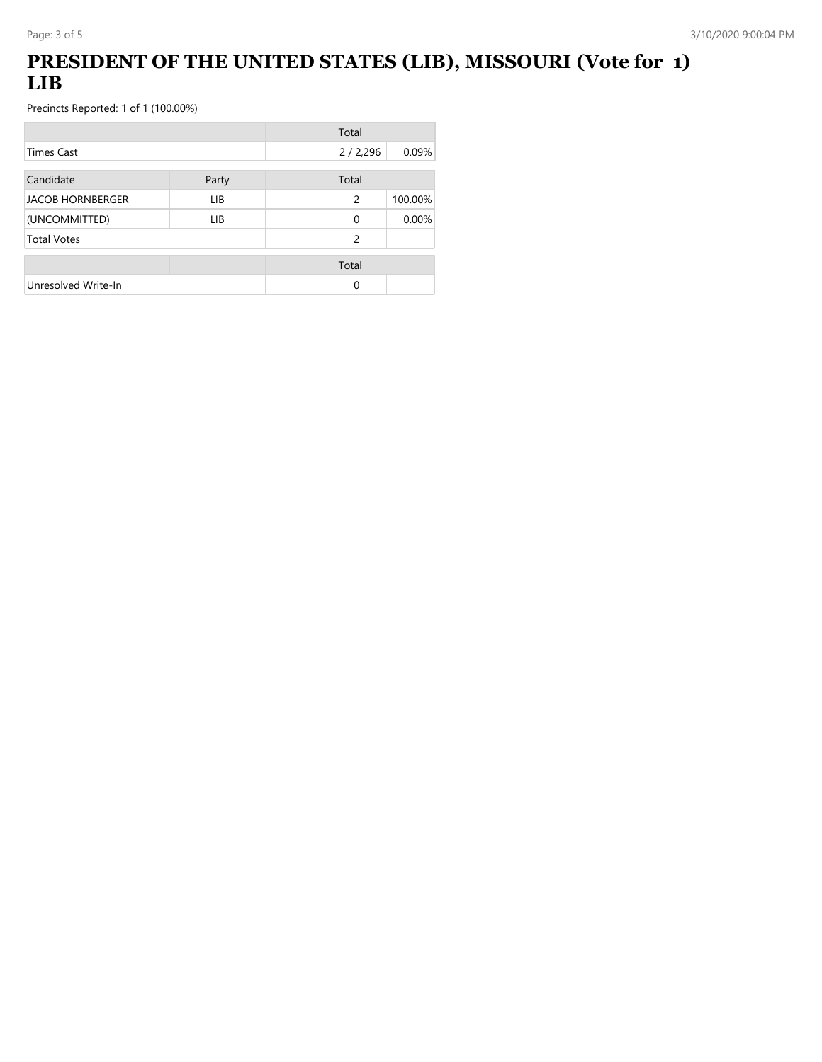# **PRESIDENT OF THE UNITED STATES (LIB), MISSOURI (Vote for 1) LIB**

|                         |       | Total    |         |
|-------------------------|-------|----------|---------|
| <b>Times Cast</b>       |       | 2/2,296  | 0.09%   |
| Candidate               | Party | Total    |         |
| <b>JACOB HORNBERGER</b> | LIB   | 2        | 100.00% |
| (UNCOMMITTED)           | LIB.  | $\Omega$ | 0.00%   |
| <b>Total Votes</b>      |       | 2        |         |
|                         |       | Total    |         |
| Unresolved Write-In     |       | 0        |         |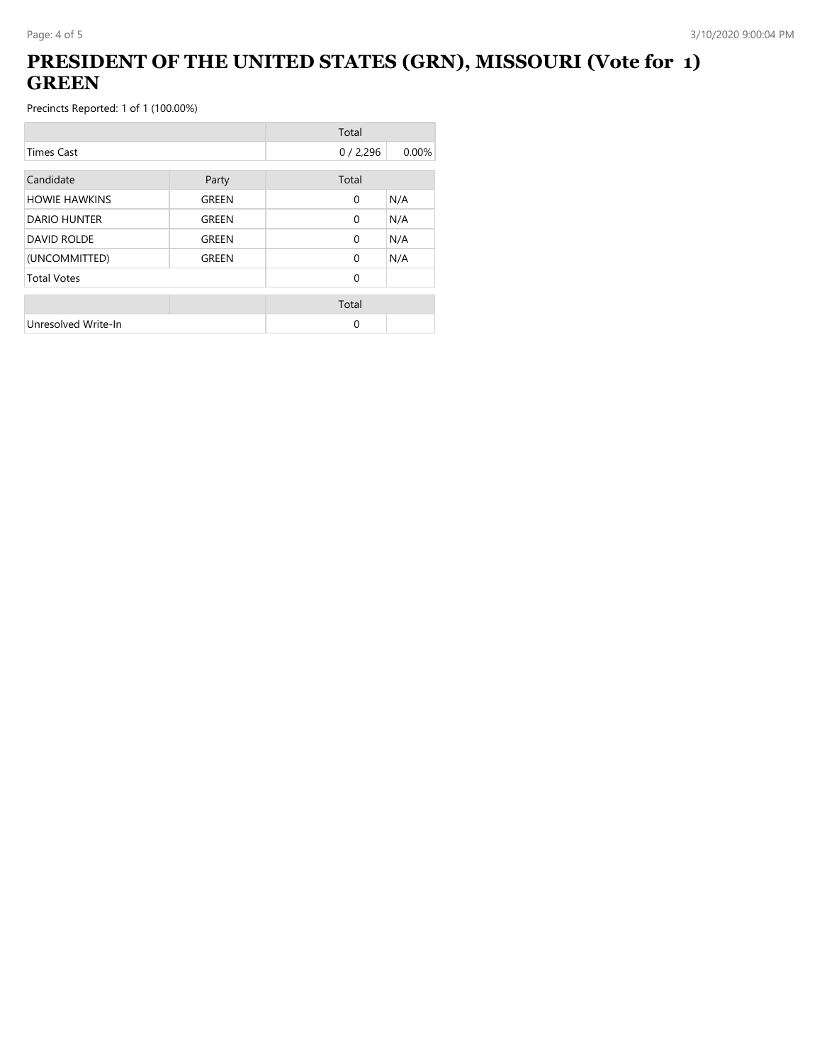## **PRESIDENT OF THE UNITED STATES (GRN), MISSOURI (Vote for 1) GREEN**

|                      |       | Total        |       |
|----------------------|-------|--------------|-------|
| <b>Times Cast</b>    |       | 0/2,296      | 0.00% |
| Candidate            | Party | Total        |       |
| <b>HOWIE HAWKINS</b> | GREEN | $\mathbf{0}$ | N/A   |
| <b>DARIO HUNTER</b>  | GREEN | $\Omega$     | N/A   |
| <b>DAVID ROLDE</b>   | GREEN | $\Omega$     | N/A   |
| (UNCOMMITTED)        | GREEN | $\Omega$     | N/A   |
| <b>Total Votes</b>   |       | $\Omega$     |       |
|                      |       | Total        |       |
| Unresolved Write-In  |       | 0            |       |